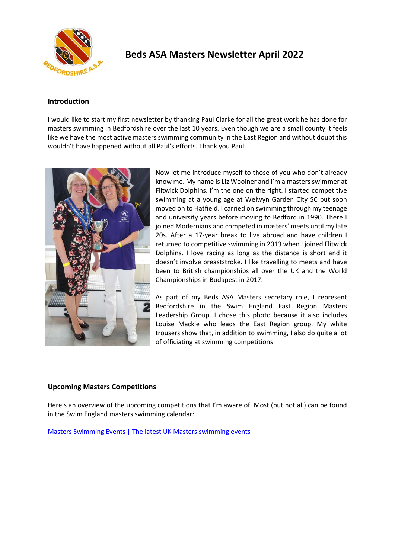

# **Beds ASA Masters Newsletter April 2022**

## **Introduction**

I would like to start my first newsletter by thanking Paul Clarke for all the great work he has done for masters swimming in Bedfordshire over the last 10 years. Even though we are a small county it feels like we have the most active masters swimming community in the East Region and without doubt this wouldn't have happened without all Paul's efforts. Thank you Paul.



Now let me introduce myself to those of you who don't already know me. My name is Liz Woolner and I'm a masters swimmer at Flitwick Dolphins. I'm the one on the right. I started competitive swimming at a young age at Welwyn Garden City SC but soon moved on to Hatfield. I carried on swimming through my teenage and university years before moving to Bedford in 1990. There I joined Modernians and competed in masters' meets until my late 20s. After a 17-year break to live abroad and have children I returned to competitive swimming in 2013 when I joined Flitwick Dolphins. I love racing as long as the distance is short and it doesn't involve breaststroke. I like travelling to meets and have been to British championships all over the UK and the World Championships in Budapest in 2017.

As part of my Beds ASA Masters secretary role, I represent Bedfordshire in the Swim England East Region Masters Leadership Group. I chose this photo because it also includes Louise Mackie who leads the East Region group. My white trousers show that, in addition to swimming, I also do quite a lot of officiating at swimming competitions.

# **Upcoming Masters Competitions**

Here's an overview of the upcoming competitions that I'm aware of. Most (but not all) can be found in the Swim England masters swimming calendar:

Masters Swimming Events | The latest UK Masters swimming events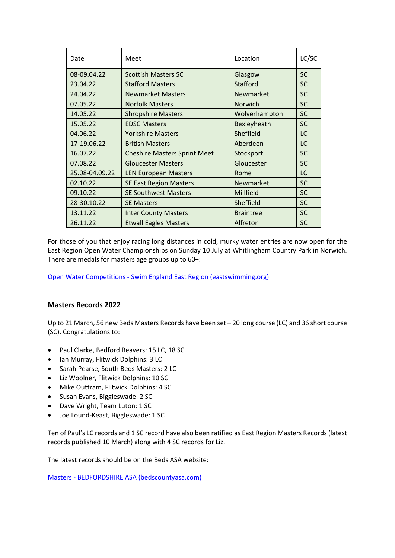| Date           | Meet                                | Location         | LC/SC     |
|----------------|-------------------------------------|------------------|-----------|
| 08-09.04.22    | <b>Scottish Masters SC</b>          | Glasgow          | <b>SC</b> |
| 23.04.22       | <b>Stafford Masters</b>             | Stafford         | <b>SC</b> |
| 24.04.22       | <b>Newmarket Masters</b>            | Newmarket        | <b>SC</b> |
| 07.05.22       | <b>Norfolk Masters</b>              | Norwich          | <b>SC</b> |
| 14.05.22       | <b>Shropshire Masters</b>           | Wolverhampton    | <b>SC</b> |
| 15.05.22       | <b>EDSC Masters</b>                 | Bexleyheath      | <b>SC</b> |
| 04.06.22       | <b>Yorkshire Masters</b>            | Sheffield        | LC        |
| 17-19.06.22    | <b>British Masters</b>              | Aberdeen         | LC        |
| 16.07.22       | <b>Cheshire Masters Sprint Meet</b> | Stockport        | <b>SC</b> |
| 07.08.22       | <b>Gloucester Masters</b>           | Gloucester       | <b>SC</b> |
| 25.08-04.09.22 | <b>LEN European Masters</b>         | Rome             | LC        |
| 02.10.22       | <b>SE East Region Masters</b>       | Newmarket        | <b>SC</b> |
| 09.10.22       | <b>SE Southwest Masters</b>         | Millfield        | <b>SC</b> |
| 28-30.10.22    | <b>SE Masters</b>                   | Sheffield        | <b>SC</b> |
| 13.11.22       | <b>Inter County Masters</b>         | <b>Braintree</b> | <b>SC</b> |
| 26.11.22       | <b>Etwall Eagles Masters</b>        | Alfreton         | <b>SC</b> |

For those of you that enjoy racing long distances in cold, murky water entries are now open for the East Region Open Water Championships on Sunday 10 July at Whitlingham Country Park in Norwich. There are medals for masters age groups up to 60+:

Open Water Competitions ‐ Swim England East Region (eastswimming.org)

# **Masters Records 2022**

Up to 21 March, 56 new Beds Masters Records have been set – 20 long course (LC) and 36 short course (SC). Congratulations to:

- Paul Clarke, Bedford Beavers: 15 LC, 18 SC
- Ian Murray, Flitwick Dolphins: 3 LC
- Sarah Pearse, South Beds Masters: 2 LC
- Liz Woolner, Flitwick Dolphins: 10 SC
- Mike Outtram, Flitwick Dolphins: 4 SC
- Susan Evans, Biggleswade: 2 SC
- Dave Wright, Team Luton: 1 SC
- Joe Lound‐Keast, Biggleswade: 1 SC

Ten of Paul's LC records and 1 SC record have also been ratified as East Region Masters Records (latest records published 10 March) along with 4 SC records for Liz.

The latest records should be on the Beds ASA website:

Masters ‐ BEDFORDSHIRE ASA (bedscountyasa.com)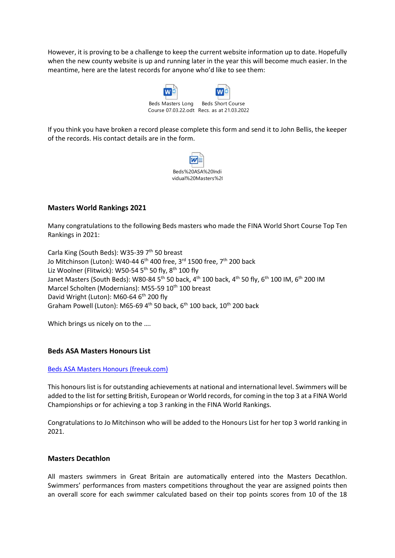However, it is proving to be a challenge to keep the current website information up to date. Hopefully when the new county website is up and running later in the year this will become much easier. In the meantime, here are the latest records for anyone who'd like to see them:



If you think you have broken a record please complete this form and send it to John Bellis, the keeper of the records. His contact details are in the form.



# **Masters World Rankings 2021**

Many congratulations to the following Beds masters who made the FINA World Short Course Top Ten Rankings in 2021:

Carla King (South Beds): W35‐39 7th 50 breast Jo Mitchinson (Luton): W40-44 6<sup>th</sup> 400 free, 3<sup>rd</sup> 1500 free, 7<sup>th</sup> 200 back Liz Woolner (Flitwick): W50-54  $5<sup>th</sup>$  50 fly,  $8<sup>th</sup>$  100 fly Janet Masters (South Beds): W80-84 5<sup>th</sup> 50 back, 4<sup>th</sup> 100 back, 4<sup>th</sup> 50 fly, 6<sup>th</sup> 100 IM, 6<sup>th</sup> 200 IM Marcel Scholten (Modernians): M55-59 10<sup>th</sup> 100 breast David Wright (Luton): M60-64 6<sup>th</sup> 200 fly Graham Powell (Luton): M65-69  $4^{\text{th}}$  50 back, 6<sup>th</sup> 100 back, 10<sup>th</sup> 200 back

Which brings us nicely on to the ....

## **Beds ASA Masters Honours List**

## Beds ASA Masters Honours (freeuk.com)

This honours list is for outstanding achievements at national and international level. Swimmers will be added to the list for setting British, European or World records, for coming in the top 3 at a FINA World Championships or for achieving a top 3 ranking in the FINA World Rankings.

Congratulations to Jo Mitchinson who will be added to the Honours List for her top 3 world ranking in 2021.

## **Masters Decathlon**

All masters swimmers in Great Britain are automatically entered into the Masters Decathlon. Swimmers' performances from masters competitions throughout the year are assigned points then an overall score for each swimmer calculated based on their top points scores from 10 of the 18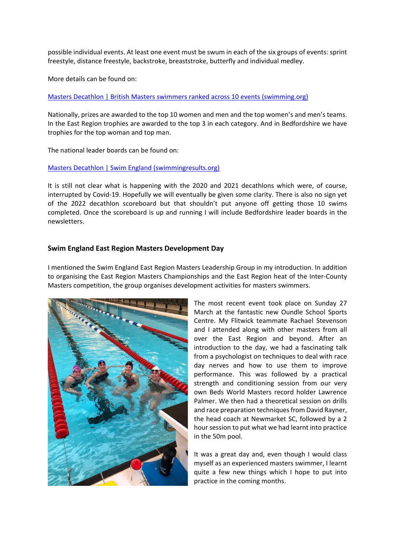possible individual events. At least one event must be swum in each of the six groups of events: sprint freestyle, distance freestyle, backstroke, breaststroke, butterfly and individual medley.

More details can be found on:

Masters Decathlon | British Masters swimmers ranked across 10 events (swimming.org)

Nationally, prizes are awarded to the top 10 women and men and the top women's and men's teams. In the East Region trophies are awarded to the top 3 in each category. And in Bedfordshire we have trophies for the top woman and top man.

The national leader boards can be found on:

#### Masters Decathlon | Swim England (swimmingresults.org)

It is still not clear what is happening with the 2020 and 2021 decathlons which were, of course, interrupted by Covid‐19. Hopefully we will eventually be given some clarity. There is also no sign yet of the 2022 decathlon scoreboard but that shouldn't put anyone off getting those 10 swims completed. Once the scoreboard is up and running I will include Bedfordshire leader boards in the newsletters.

## **Swim England East Region Masters Development Day**

I mentioned the Swim England East Region Masters Leadership Group in my introduction. In addition to organising the East Region Masters Championships and the East Region heat of the Inter‐County Masters competition, the group organises development activities for masters swimmers.



The most recent event took place on Sunday 27 March at the fantastic new Oundle School Sports Centre. My Flitwick teammate Rachael Stevenson and I attended along with other masters from all over the East Region and beyond. After an introduction to the day, we had a fascinating talk from a psychologist on techniques to deal with race day nerves and how to use them to improve performance. This was followed by a practical strength and conditioning session from our very own Beds World Masters record holder Lawrence Palmer. We then had a theoretical session on drills and race preparation techniques from David Rayner, the head coach at Newmarket SC, followed by a 2 hour session to put what we had learnt into practice in the 50m pool.

It was a great day and, even though I would class myself as an experienced masters swimmer, I learnt quite a few new things which I hope to put into practice in the coming months.